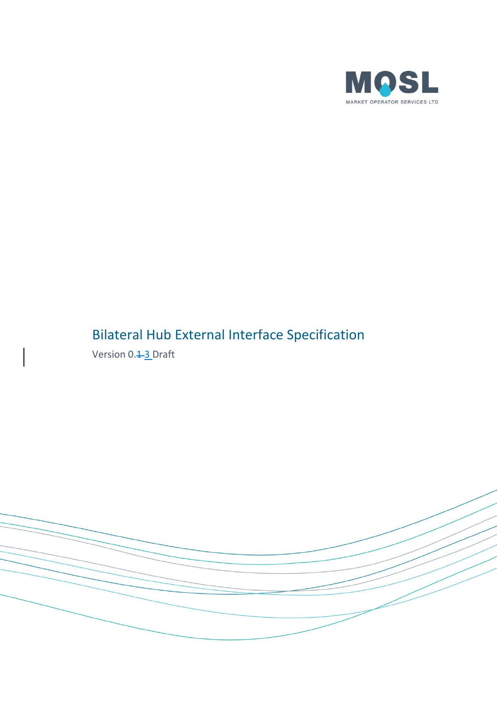

# Bilateral Hub External Interface Specification

Version 0.<del>1 3</del> Draft

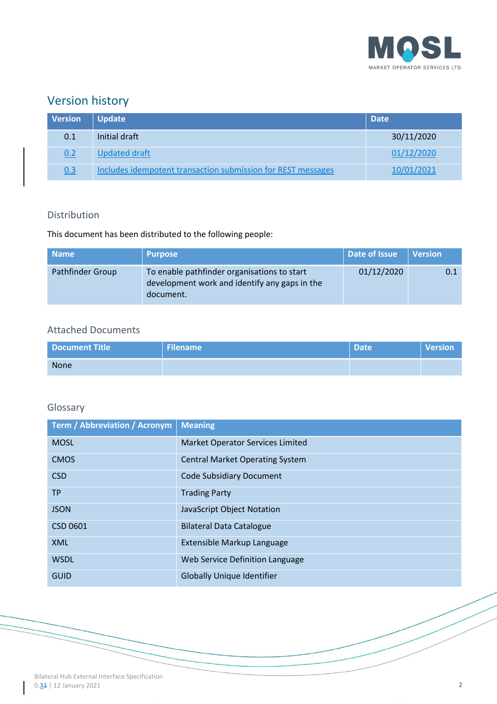

## Version history

| <b>Version</b> | <b>Update</b>                                                | <b>Date</b> |
|----------------|--------------------------------------------------------------|-------------|
| 0.1            | Initial draft                                                | 30/11/2020  |
| 0.2            | <b>Updated draft</b>                                         | 01/12/2020  |
| <u>0.3</u>     | Includes idempotent transaction submission for REST messages | 10/01/2021  |

### Distribution

## This document has been distributed to the following people:

| <b>Name</b>      | <b>Purpose</b>                                                                                            | Date of Issue | <b>Version</b> |
|------------------|-----------------------------------------------------------------------------------------------------------|---------------|----------------|
| Pathfinder Group | To enable pathfinder organisations to start<br>development work and identify any gaps in the<br>document. | 01/12/2020    | 0.1            |

## Attached Documents

| <b>Document Title</b> | <b>Filename</b> | Date | <b>Version</b> |
|-----------------------|-----------------|------|----------------|
| <b>None</b>           |                 |      |                |

## Glossary

| Term / Abbreviation / Acronym | <b>Meaning</b>                          |
|-------------------------------|-----------------------------------------|
| <b>MOSL</b>                   | <b>Market Operator Services Limited</b> |
| <b>CMOS</b>                   | <b>Central Market Operating System</b>  |
| <b>CSD</b>                    | <b>Code Subsidiary Document</b>         |
| <b>TP</b>                     | <b>Trading Party</b>                    |
| <b>JSON</b>                   | JavaScript Object Notation              |
| CSD 0601                      | <b>Bilateral Data Catalogue</b>         |
| <b>XML</b>                    | Extensible Markup Language              |
| <b>WSDL</b>                   | <b>Web Service Definition Language</b>  |
| <b>GUID</b>                   | <b>Globally Unique Identifier</b>       |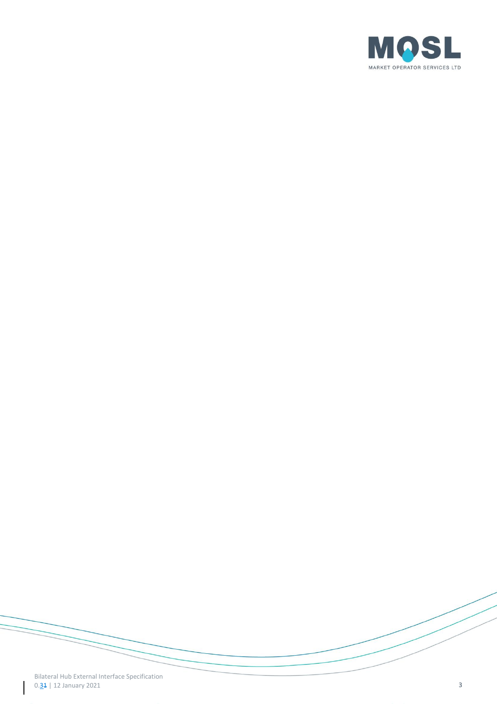

Bilateral Hub External Interface Specification 0.34 | 12 January 2021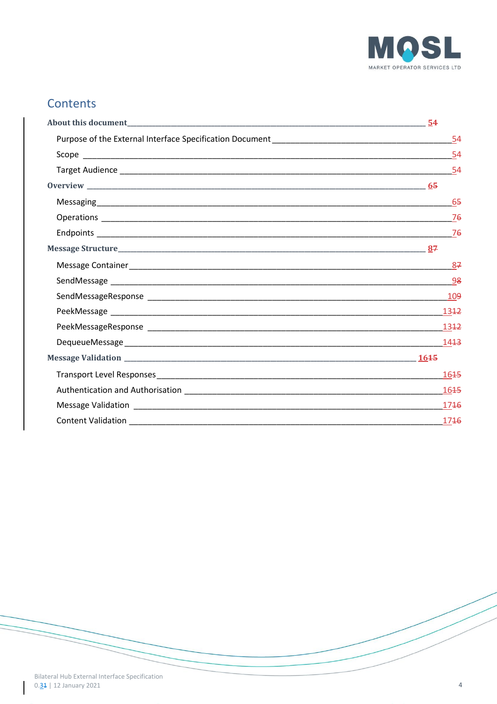

## Contents

| 54                 |
|--------------------|
| 54                 |
| 54                 |
|                    |
| 65                 |
| 76                 |
| 76                 |
|                    |
| 87                 |
|                    |
| 109                |
| 13 <del>12</del>   |
| - 13 <del>12</del> |
| 1413               |
|                    |
| 1645               |
| 1645               |
| 1746               |
| 17 <del>16</del>   |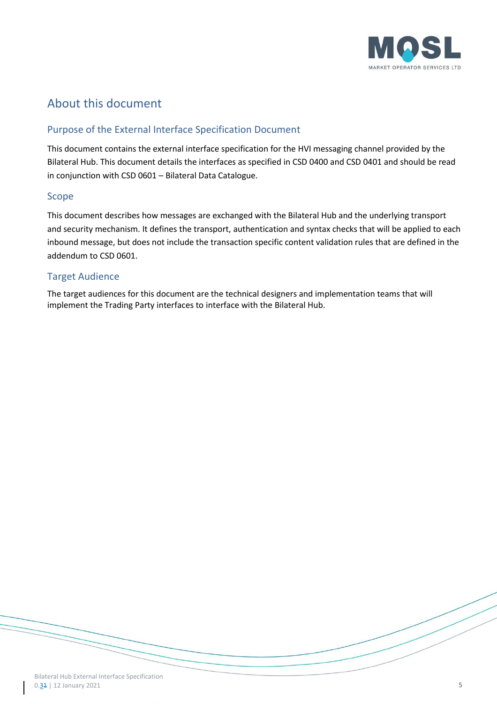

## <span id="page-4-0"></span>About this document

### <span id="page-4-1"></span>Purpose of the External Interface Specification Document

This document contains the external interface specification for the HVI messaging channel provided by the Bilateral Hub. This document details the interfaces as specified in CSD 0400 and CSD 0401 and should be read in conjunction with CSD 0601 – Bilateral Data Catalogue.

#### <span id="page-4-2"></span>Scope

This document describes how messages are exchanged with the Bilateral Hub and the underlying transport and security mechanism. It defines the transport, authentication and syntax checks that will be applied to each inbound message, but does not include the transaction specific content validation rules that are defined in the addendum to CSD 0601.

#### <span id="page-4-3"></span>Target Audience

The target audiences for this document are the technical designers and implementation teams that will implement the Trading Party interfaces to interface with the Bilateral Hub.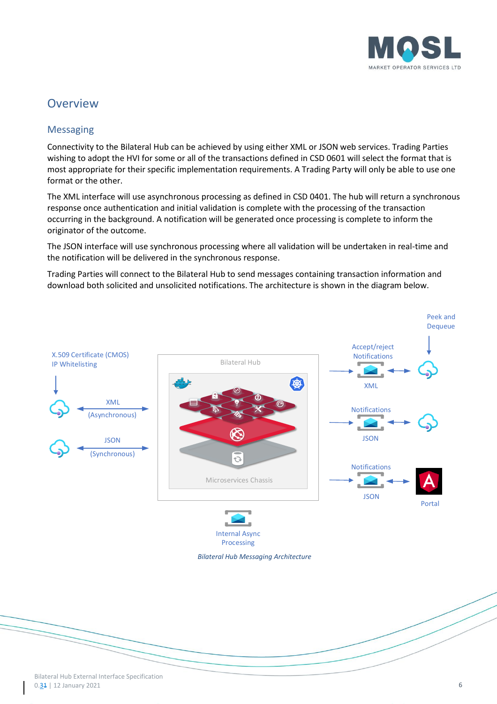

## <span id="page-5-0"></span>**Overview**

#### <span id="page-5-1"></span>**Messaging**

Connectivity to the Bilateral Hub can be achieved by using either XML or JSON web services. Trading Parties wishing to adopt the HVI for some or all of the transactions defined in CSD 0601 will select the format that is most appropriate for their specific implementation requirements. A Trading Party will only be able to use one format or the other.

The XML interface will use asynchronous processing as defined in CSD 0401. The hub will return a synchronous response once authentication and initial validation is complete with the processing of the transaction occurring in the background. A notification will be generated once processing is complete to inform the originator of the outcome.

The JSON interface will use synchronous processing where all validation will be undertaken in real-time and the notification will be delivered in the synchronous response.

Trading Parties will connect to the Bilateral Hub to send messages containing transaction information and download both solicited and unsolicited notifications. The architecture is shown in the diagram below.



*Bilateral Hub Messaging Architecture*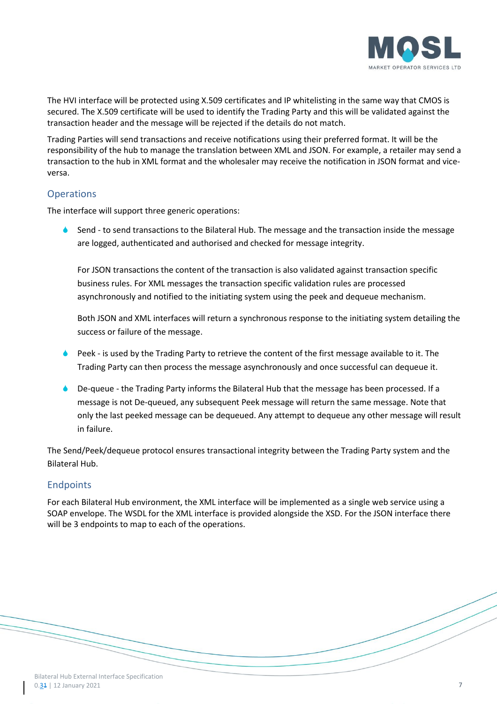

The HVI interface will be protected using X.509 certificates and IP whitelisting in the same way that CMOS is secured. The X.509 certificate will be used to identify the Trading Party and this will be validated against the transaction header and the message will be rejected if the details do not match.

Trading Parties will send transactions and receive notifications using their preferred format. It will be the responsibility of the hub to manage the translation between XML and JSON. For example, a retailer may send a transaction to the hub in XML format and the wholesaler may receive the notification in JSON format and viceversa.

#### <span id="page-6-0"></span>**Operations**

The interface will support three generic operations:

Send - to send transactions to the Bilateral Hub. The message and the transaction inside the message are logged, authenticated and authorised and checked for message integrity.

For JSON transactions the content of the transaction is also validated against transaction specific business rules. For XML messages the transaction specific validation rules are processed asynchronously and notified to the initiating system using the peek and dequeue mechanism.

Both JSON and XML interfaces will return a synchronous response to the initiating system detailing the success or failure of the message.

- Peek is used by the Trading Party to retrieve the content of the first message available to it. The Trading Party can then process the message asynchronously and once successful can dequeue it.
- De-queue the Trading Party informs the Bilateral Hub that the message has been processed. If a message is not De-queued, any subsequent Peek message will return the same message. Note that only the last peeked message can be dequeued. Any attempt to dequeue any other message will result in failure.

The Send/Peek/dequeue protocol ensures transactional integrity between the Trading Party system and the Bilateral Hub.

#### <span id="page-6-1"></span>**Endpoints**

For each Bilateral Hub environment, the XML interface will be implemented as a single web service using a SOAP envelope. The WSDL for the XML interface is provided alongside the XSD. For the JSON interface there will be 3 endpoints to map to each of the operations.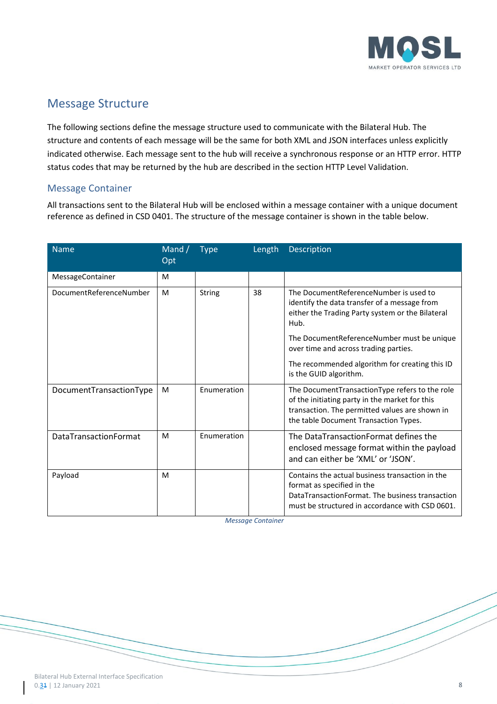

## <span id="page-7-0"></span>Message Structure

The following sections define the message structure used to communicate with the Bilateral Hub. The structure and contents of each message will be the same for both XML and JSON interfaces unless explicitly indicated otherwise. Each message sent to the hub will receive a synchronous response or an HTTP error. HTTP status codes that may be returned by the hub are described in the section HTTP Level Validation.

#### <span id="page-7-1"></span>Message Container

All transactions sent to the Bilateral Hub will be enclosed within a message container with a unique document reference as defined in CSD 0401. The structure of the message container is shown in the table below.

| <b>Name</b>             | Mand /<br>Opt | <b>Type</b>   | Length | Description                                                                                                                                                                                 |
|-------------------------|---------------|---------------|--------|---------------------------------------------------------------------------------------------------------------------------------------------------------------------------------------------|
| MessageContainer        | M             |               |        |                                                                                                                                                                                             |
| DocumentReferenceNumber | M             | <b>String</b> | 38     | The DocumentReferenceNumber is used to<br>identify the data transfer of a message from<br>either the Trading Party system or the Bilateral<br>Hub.                                          |
|                         |               |               |        | The DocumentReferenceNumber must be unique<br>over time and across trading parties.                                                                                                         |
|                         |               |               |        | The recommended algorithm for creating this ID<br>is the GUID algorithm.                                                                                                                    |
| DocumentTransactionType | M             | Enumeration   |        | The DocumentTransactionType refers to the role<br>of the initiating party in the market for this<br>transaction. The permitted values are shown in<br>the table Document Transaction Types. |
| DataTransactionFormat   | M             | Enumeration   |        | The DataTransactionFormat defines the<br>enclosed message format within the payload<br>and can either be 'XML' or 'JSON'.                                                                   |
| Payload                 | M             |               |        | Contains the actual business transaction in the<br>format as specified in the<br>DataTransactionFormat. The business transaction<br>must be structured in accordance with CSD 0601.         |

*Message Container*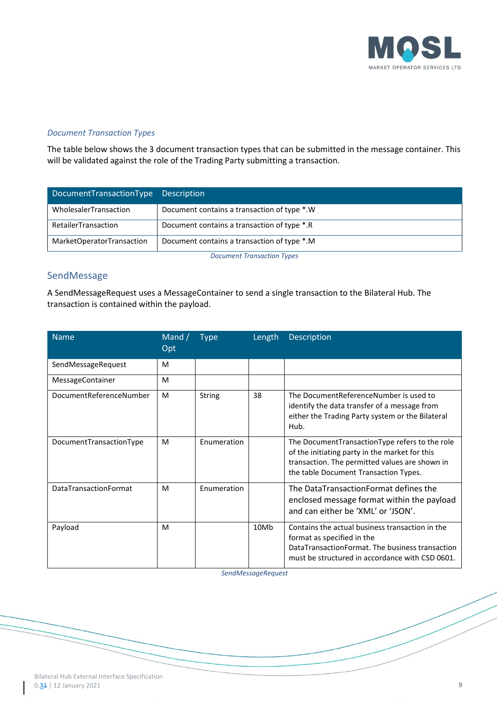

#### *Document Transaction Types*

The table below shows the 3 document transaction types that can be submitted in the message container. This will be validated against the role of the Trading Party submitting a transaction.

| DocumentTransactionType Description |                                             |
|-------------------------------------|---------------------------------------------|
| WholesalerTransaction               | Document contains a transaction of type *.W |
| RetailerTransaction                 | Document contains a transaction of type *.R |
| MarketOperatorTransaction           | Document contains a transaction of type *.M |

*Document Transaction Types*

#### <span id="page-8-0"></span>SendMessage

A SendMessageRequest uses a MessageContainer to send a single transaction to the Bilateral Hub. The transaction is contained within the payload.

| <b>Name</b>                  | Mand $/$<br>Opt | <b>Type</b>   | Length | <b>Description</b>                                                                                                                                                                          |
|------------------------------|-----------------|---------------|--------|---------------------------------------------------------------------------------------------------------------------------------------------------------------------------------------------|
| SendMessageRequest           | M               |               |        |                                                                                                                                                                                             |
| MessageContainer             | M               |               |        |                                                                                                                                                                                             |
| DocumentReferenceNumber      | M               | <b>String</b> | 38     | The DocumentReferenceNumber is used to<br>identify the data transfer of a message from<br>either the Trading Party system or the Bilateral<br>Hub.                                          |
| DocumentTransactionType      | M               | Enumeration   |        | The DocumentTransactionType refers to the role<br>of the initiating party in the market for this<br>transaction. The permitted values are shown in<br>the table Document Transaction Types. |
| <b>DataTransactionFormat</b> | M               | Enumeration   |        | The DataTransactionFormat defines the<br>enclosed message format within the payload<br>and can either be 'XML' or 'JSON'.                                                                   |
| Payload                      | M               |               | 10Mb   | Contains the actual business transaction in the<br>format as specified in the<br>DataTransactionFormat. The business transaction<br>must be structured in accordance with CSD 0601.         |

*SendMessageRequest*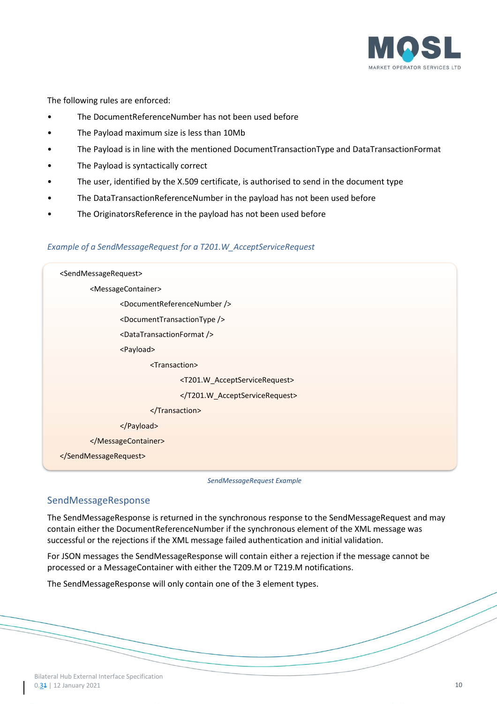

The following rules are enforced:

- The DocumentReferenceNumber has not been used before
- The Payload maximum size is less than 10Mb
- The Payload is in line with the mentioned DocumentTransactionType and DataTransactionFormat
- The Payload is syntactically correct
- The user, identified by the X.509 certificate, is authorised to send in the document type
- The DataTransactionReferenceNumber in the payload has not been used before
- The OriginatorsReference in the payload has not been used before

#### *Example of a SendMessageRequest for a T201.W\_AcceptServiceRequest*



*SendMessageRequest Example*

#### <span id="page-9-0"></span>SendMessageResponse

The SendMessageResponse is returned in the synchronous response to the SendMessageRequest and may contain either the DocumentReferenceNumber if the synchronous element of the XML message was successful or the rejections if the XML message failed authentication and initial validation.

For JSON messages the SendMessageResponse will contain either a rejection if the message cannot be processed or a MessageContainer with either the T209.M or T219.M notifications.

The SendMessageResponse will only contain one of the 3 element types.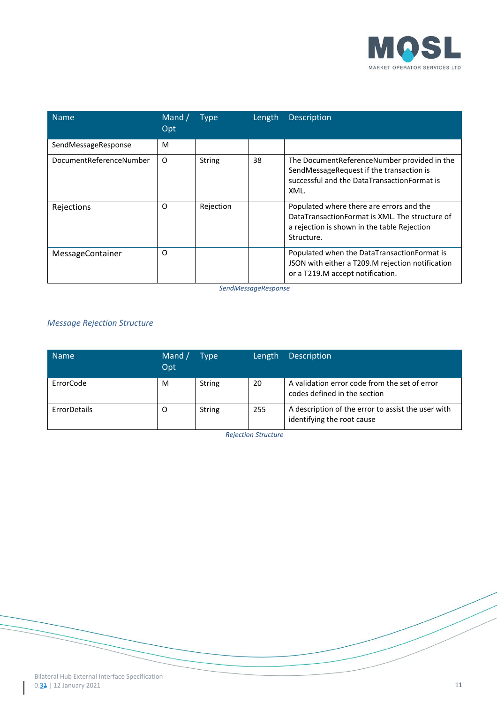

| <b>Name</b>             | Mand $/$<br>Opt | <b>Type</b>   | Length | <b>Description</b>                                                                                                                                      |
|-------------------------|-----------------|---------------|--------|---------------------------------------------------------------------------------------------------------------------------------------------------------|
| SendMessageResponse     | M               |               |        |                                                                                                                                                         |
| DocumentReferenceNumber | $\Omega$        | <b>String</b> | 38     | The Document Reference Number provided in the<br>SendMessageRequest if the transaction is<br>successful and the DataTransactionFormat is<br>XML.        |
| Rejections              | O               | Rejection     |        | Populated where there are errors and the<br>DataTransactionFormat is XML. The structure of<br>a rejection is shown in the table Rejection<br>Structure. |
| MessageContainer        | O               |               |        | Populated when the DataTransactionFormat is<br>JSON with either a T209.M rejection notification<br>or a T219.M accept notification.                     |

*SendMessageResponse*

### *Message Rejection Structure*

| <b>Name</b>  | Mand /<br>Opt | <b>Type</b>   | Length | <b>Description</b>                                                               |
|--------------|---------------|---------------|--------|----------------------------------------------------------------------------------|
| ErrorCode    | М             | <b>String</b> | 20     | A validation error code from the set of error<br>codes defined in the section    |
| ErrorDetails | O             | <b>String</b> | 255    | A description of the error to assist the user with<br>identifying the root cause |

*Rejection Structure*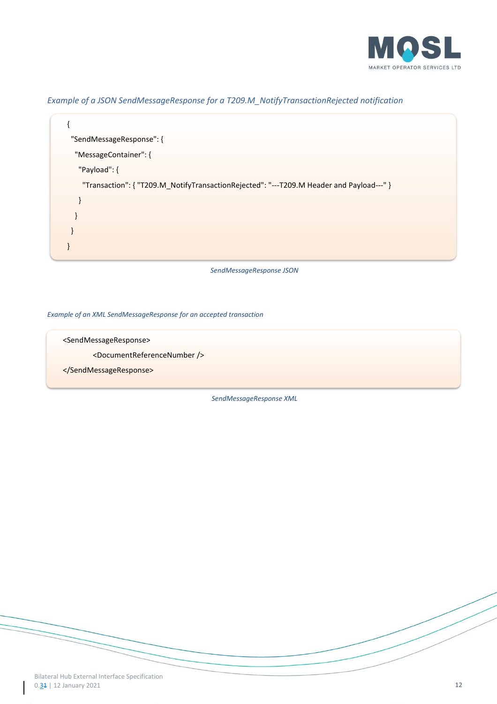

*Example of a JSON SendMessageResponse for a T209.M\_NotifyTransactionRejected notification*

{ "SendMessageResponse": { "MessageContainer": { "Payload": { "Transaction": { "T209.M\_NotifyTransactionRejected": "---T209.M Header and Payload---" } } } } }

*SendMessageResponse JSON*

*Example of an XML SendMessageResponse for an accepted transaction*

<SendMessageResponse> <DocumentReferenceNumber /> </SendMessageResponse>

*SendMessageResponse XML*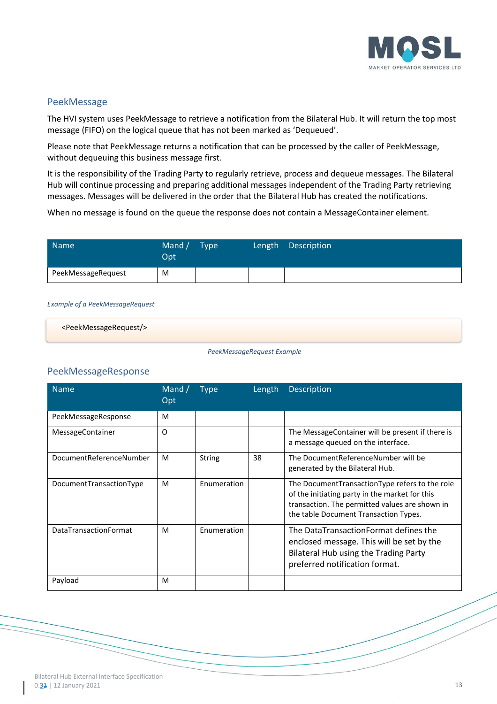

#### <span id="page-12-0"></span>PeekMessage

The HVI system uses PeekMessage to retrieve a notification from the Bilateral Hub. It will return the top most message (FIFO) on the logical queue that has not been marked as 'Dequeued'.

Please note that PeekMessage returns a notification that can be processed by the caller of PeekMessage, without dequeuing this business message first.

It is the responsibility of the Trading Party to regularly retrieve, process and dequeue messages. The Bilateral Hub will continue processing and preparing additional messages independent of the Trading Party retrieving messages. Messages will be delivered in the order that the Bilateral Hub has created the notifications.

When no message is found on the queue the response does not contain a MessageContainer element.

| <b>Name</b>        | Mand /<br>Opt | <b>Type</b> | Length | Description |
|--------------------|---------------|-------------|--------|-------------|
| PeekMessageRequest | M             |             |        |             |

*Example of a PeekMessageRequest*

| <peekmessagerequest></peekmessagerequest> |  |  |  |
|-------------------------------------------|--|--|--|
|                                           |  |  |  |

*PeekMessageRequest Example*

#### <span id="page-12-1"></span>PeekMessageResponse

| <b>Name</b>                  | Mand /<br>Opt | <b>Type</b>   | Length | <b>Description</b>                                                                                                                                                                          |
|------------------------------|---------------|---------------|--------|---------------------------------------------------------------------------------------------------------------------------------------------------------------------------------------------|
| PeekMessageResponse          | M             |               |        |                                                                                                                                                                                             |
| <b>MessageContainer</b>      | $\Omega$      |               |        | The Message Container will be present if there is<br>a message queued on the interface.                                                                                                     |
| DocumentReferenceNumber      | M             | <b>String</b> | 38     | The DocumentReferenceNumber will be<br>generated by the Bilateral Hub.                                                                                                                      |
| DocumentTransactionType      | M             | Enumeration   |        | The DocumentTransactionType refers to the role<br>of the initiating party in the market for this<br>transaction. The permitted values are shown in<br>the table Document Transaction Types. |
| <b>DataTransactionFormat</b> | M             | Enumeration   |        | The DataTransactionFormat defines the<br>enclosed message. This will be set by the<br>Bilateral Hub using the Trading Party<br>preferred notification format.                               |
| Payload                      | M             |               |        |                                                                                                                                                                                             |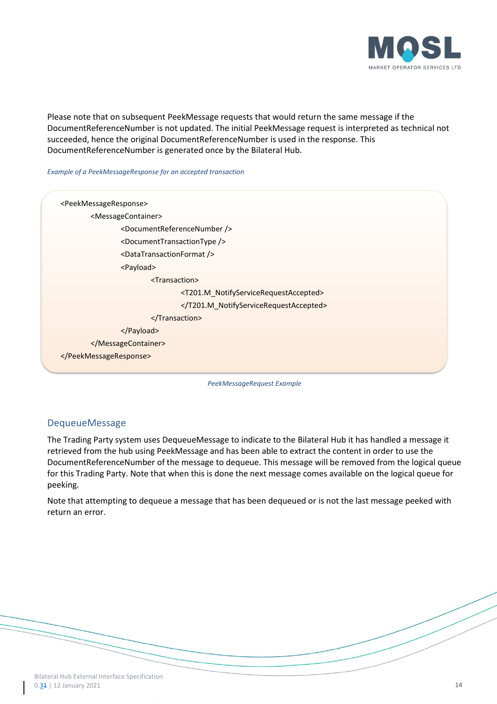

Please note that on subsequent PeekMessage requests that would return the same message if the DocumentReferenceNumber is not updated. The initial PeekMessage request is interpreted as technical not succeeded, hence the original DocumentReferenceNumber is used in the response. This DocumentReferenceNumber is generated once by the Bilateral Hub.

*Example of a PeekMessageResponse for an accepted transaction*

| <peekmessageresponse></peekmessageresponse>         |  |
|-----------------------------------------------------|--|
| <messagecontainer></messagecontainer>               |  |
| <documentreferencenumber></documentreferencenumber> |  |
| <documenttransactiontype></documenttransactiontype> |  |
| <datatransactionformat></datatransactionformat>     |  |
| <payload></payload>                                 |  |
| <transaction></transaction>                         |  |
| <t201.m notifyservicerequestaccepted=""></t201.m>   |  |
|                                                     |  |
|                                                     |  |
| $<$ /Payload>                                       |  |
|                                                     |  |
|                                                     |  |
|                                                     |  |

*PeekMessageRequest Example*

#### <span id="page-13-0"></span>DequeueMessage

The Trading Party system uses DequeueMessage to indicate to the Bilateral Hub it has handled a message it retrieved from the hub using PeekMessage and has been able to extract the content in order to use the DocumentReferenceNumber of the message to dequeue. This message will be removed from the logical queue for this Trading Party. Note that when this is done the next message comes available on the logical queue for peeking.

Note that attempting to dequeue a message that has been dequeued or is not the last message peeked with return an error.

Bilateral Hub External Interface Specification 0.34 | 12 January 2021 14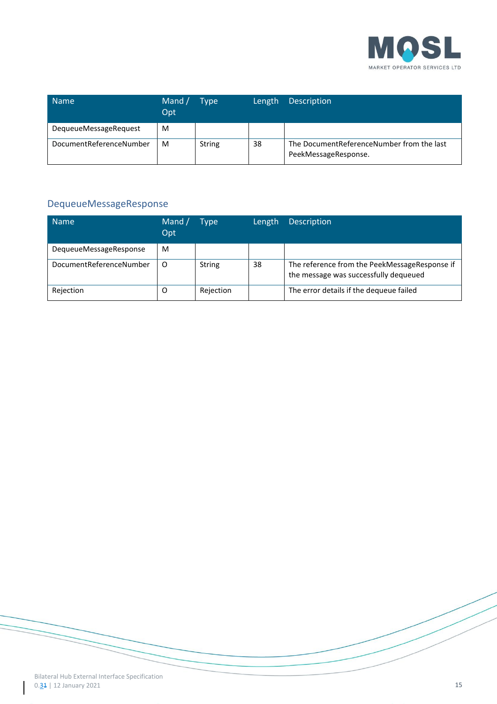

| <b>Name</b>             | Mand /<br>Opt | <b>Type</b>   | Length | <b>Description</b>                                                |
|-------------------------|---------------|---------------|--------|-------------------------------------------------------------------|
| DequeueMessageRequest   | M             |               |        |                                                                   |
| DocumentReferenceNumber | M             | <b>String</b> | 38     | The DocumentReferenceNumber from the last<br>PeekMessageResponse. |

## DequeueMessageResponse

| <b>Name</b>             | Mand /<br>Opt | Type          | Length | <b>Description</b>                                                                     |
|-------------------------|---------------|---------------|--------|----------------------------------------------------------------------------------------|
| DequeueMessageResponse  | M             |               |        |                                                                                        |
| DocumentReferenceNumber | O             | <b>String</b> | 38     | The reference from the PeekMessageResponse if<br>the message was successfully dequeued |
| Rejection               | O             | Rejection     |        | The error details if the dequeue failed                                                |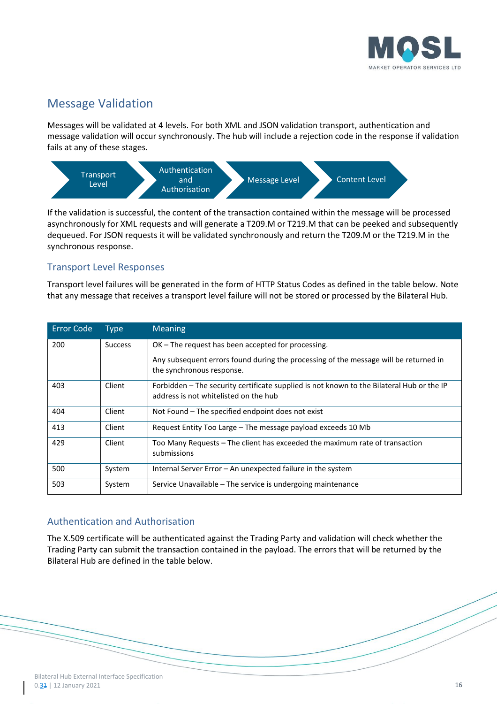

## <span id="page-15-0"></span>Message Validation

Messages will be validated at 4 levels. For both XML and JSON validation transport, authentication and message validation will occur synchronously. The hub will include a rejection code in the response if validation fails at any of these stages.



If the validation is successful, the content of the transaction contained within the message will be processed asynchronously for XML requests and will generate a T209.M or T219.M that can be peeked and subsequently dequeued. For JSON requests it will be validated synchronously and return the T209.M or the T219.M in the synchronous response.

### <span id="page-15-1"></span>Transport Level Responses

Transport level failures will be generated in the form of HTTP Status Codes as defined in the table below. Note that any message that receives a transport level failure will not be stored or processed by the Bilateral Hub.

| <b>Error Code</b> | <b>Type</b>    | <b>Meaning</b>                                                                                                                     |
|-------------------|----------------|------------------------------------------------------------------------------------------------------------------------------------|
| 200               | <b>Success</b> | OK – The request has been accepted for processing.                                                                                 |
|                   |                | Any subsequent errors found during the processing of the message will be returned in<br>the synchronous response.                  |
| 403               | Client         | Forbidden – The security certificate supplied is not known to the Bilateral Hub or the IP<br>address is not whitelisted on the hub |
| 404               | Client         | Not Found - The specified endpoint does not exist                                                                                  |
| 413               | Client         | Request Entity Too Large - The message payload exceeds 10 Mb                                                                       |
| 429               | Client         | Too Many Requests – The client has exceeded the maximum rate of transaction<br>submissions                                         |
| 500               | System         | Internal Server Error – An unexpected failure in the system                                                                        |
| 503               | System         | Service Unavailable – The service is undergoing maintenance                                                                        |

### <span id="page-15-2"></span>Authentication and Authorisation

The X.509 certificate will be authenticated against the Trading Party and validation will check whether the Trading Party can submit the transaction contained in the payload. The errors that will be returned by the Bilateral Hub are defined in the table below.